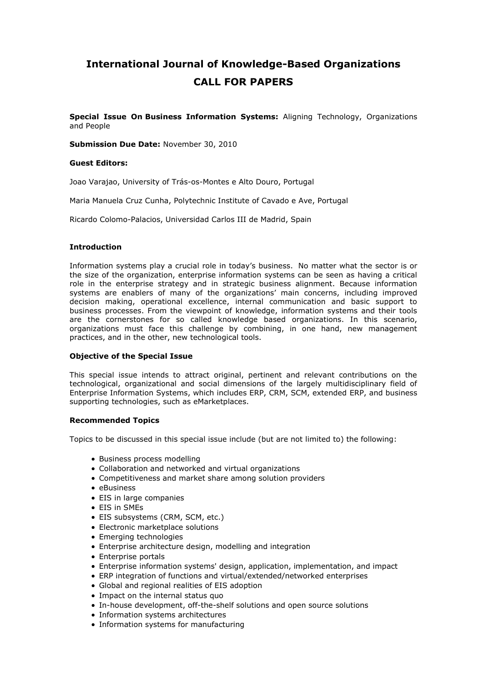# **International Journal of Knowledge-Based Organizations CALL FOR PAPERS**

**Special Issue On Business Information Systems:** Aligning Technology, Organizations and People

**Submission Due Date:** November 30, 2010

#### **Guest Editors:**

Joao Varajao, University of Trás-os-Montes e Alto Douro, Portugal

Maria Manuela Cruz Cunha, Polytechnic Institute of Cavado e Ave, Portugal

Ricardo Colomo-Palacios, Universidad Carlos III de Madrid, Spain

#### **Introduction**

Information systems play a crucial role in today's business. No matter what the sector is or the size of the organization, enterprise information systems can be seen as having a critical role in the enterprise strategy and in strategic business alignment. Because information systems are enablers of many of the organizations' main concerns, including improved decision making, operational excellence, internal communication and basic support to business processes. From the viewpoint of knowledge, information systems and their tools are the cornerstones for so called knowledge based organizations. In this scenario, organizations must face this challenge by combining, in one hand, new management practices, and in the other, new technological tools.

## **Objective of the Special Issue**

This special issue intends to attract original, pertinent and relevant contributions on the technological, organizational and social dimensions of the largely multidisciplinary field of Enterprise Information Systems, which includes ERP, CRM, SCM, extended ERP, and business supporting technologies, such as eMarketplaces.

## **Recommended Topics**

Topics to be discussed in this special issue include (but are not limited to) the following:

- Business process modelling
- Collaboration and networked and virtual organizations
- Competitiveness and market share among solution providers
- eBusiness
- EIS in large companies
- EIS in SMEs
- EIS subsystems (CRM, SCM, etc.)
- Electronic marketplace solutions
- Emerging technologies
- Enterprise architecture design, modelling and integration
- Enterprise portals
- Enterprise information systems' design, application, implementation, and impact
- ERP integration of functions and virtual/extended/networked enterprises
- Global and regional realities of EIS adoption
- Impact on the internal status quo
- In-house development, off-the-shelf solutions and open source solutions
- Information systems architectures
- Information systems for manufacturing